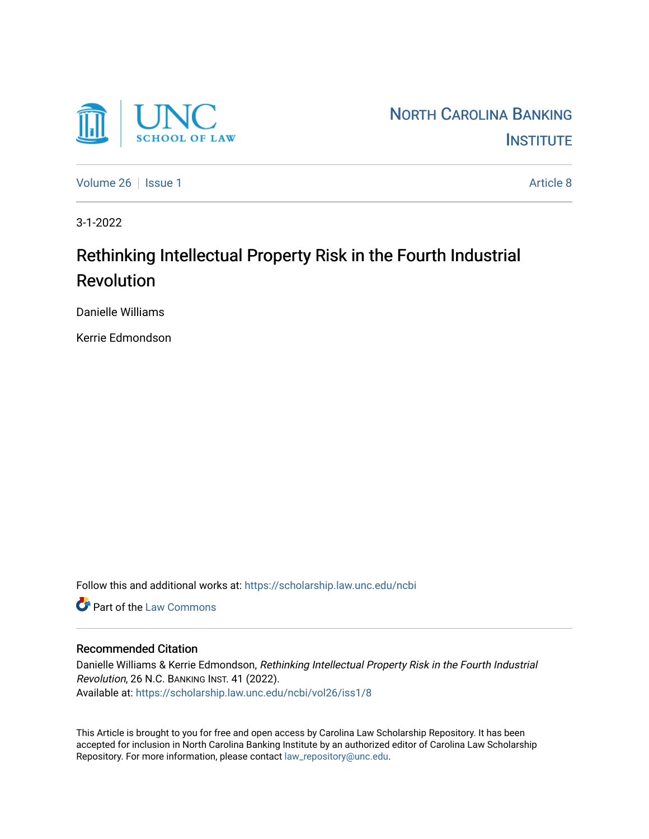

[Volume 26](https://scholarship.law.unc.edu/ncbi/vol26) | [Issue 1](https://scholarship.law.unc.edu/ncbi/vol26/iss1) Article 8

3-1-2022

# Rethinking Intellectual Property Risk in the Fourth Industrial Revolution

Danielle Williams

Kerrie Edmondson

Follow this and additional works at: [https://scholarship.law.unc.edu/ncbi](https://scholarship.law.unc.edu/ncbi?utm_source=scholarship.law.unc.edu%2Fncbi%2Fvol26%2Fiss1%2F8&utm_medium=PDF&utm_campaign=PDFCoverPages)

**C** Part of the [Law Commons](https://network.bepress.com/hgg/discipline/578?utm_source=scholarship.law.unc.edu%2Fncbi%2Fvol26%2Fiss1%2F8&utm_medium=PDF&utm_campaign=PDFCoverPages)

#### Recommended Citation

Danielle Williams & Kerrie Edmondson, Rethinking Intellectual Property Risk in the Fourth Industrial Revolution, 26 N.C. BANKING INST. 41 (2022). Available at: [https://scholarship.law.unc.edu/ncbi/vol26/iss1/8](https://scholarship.law.unc.edu/ncbi/vol26/iss1/8?utm_source=scholarship.law.unc.edu%2Fncbi%2Fvol26%2Fiss1%2F8&utm_medium=PDF&utm_campaign=PDFCoverPages) 

This Article is brought to you for free and open access by Carolina Law Scholarship Repository. It has been accepted for inclusion in North Carolina Banking Institute by an authorized editor of Carolina Law Scholarship Repository. For more information, please contact [law\\_repository@unc.edu](mailto:law_repository@unc.edu).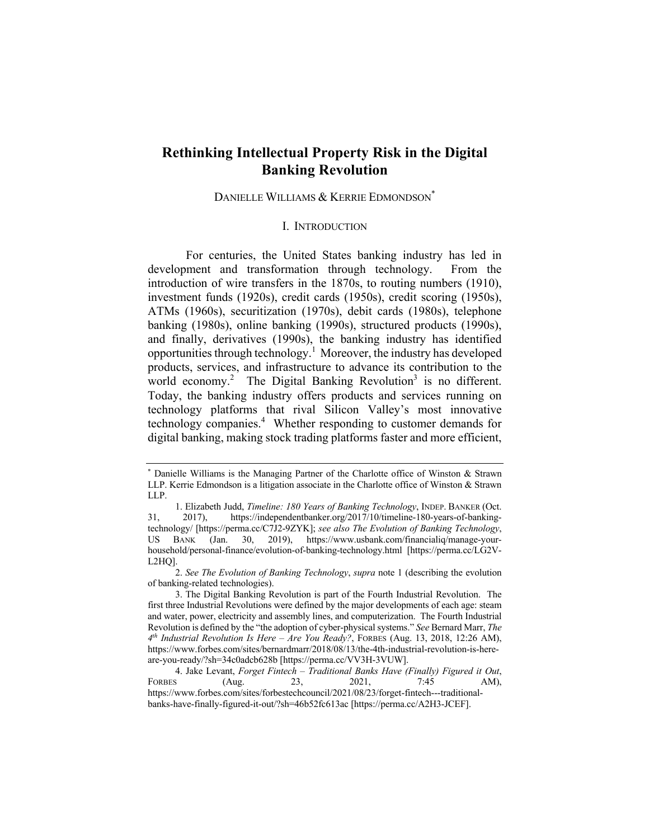## **Rethinking Intellectual Property Risk in the Digital Banking Revolution**

## DANIELLE WILLIAMS & KERRIE EDMONDSON<sup>\*</sup>

#### I. INTRODUCTION

For centuries, the United States banking industry has led in development and transformation through technology. From the introduction of wire transfers in the 1870s, to routing numbers (1910), investment funds (1920s), credit cards (1950s), credit scoring (1950s), ATMs (1960s), securitization (1970s), debit cards (1980s), telephone banking (1980s), online banking (1990s), structured products (1990s), and finally, derivatives (1990s), the banking industry has identified opportunities through technology.<sup>1</sup> Moreover, the industry has developed products, services, and infrastructure to advance its contribution to the world economy.<sup>2</sup> The Digital Banking Revolution<sup>3</sup> is no different. Today, the banking industry offers products and services running on technology platforms that rival Silicon Valley's most innovative technology companies.<sup>4</sup> Whether responding to customer demands for digital banking, making stock trading platforms faster and more efficient,

<sup>\*</sup> Danielle Williams is the Managing Partner of the Charlotte office of Winston & Strawn LLP. Kerrie Edmondson is a litigation associate in the Charlotte office of Winston & Strawn LLP.

<sup>1.</sup> Elizabeth Judd, *Timeline: 180 Years of Banking Technology*, INDEP. BANKER (Oct. 31, 2017), https://independentbanker.org/2017/10/timeline-180-years-of-bankingtechnology/ [https://perma.cc/C7J2-9ZYK]; *see also The Evolution of Banking Technology*, US BANK (Jan. 30, 2019), https://www.usbank.com/financialiq/manage-yourhousehold/personal-finance/evolution-of-banking-technology.html [https://perma.cc/LG2V-L2HQ].

<sup>2.</sup> *See The Evolution of Banking Technology*, *supra* note 1 (describing the evolution of banking-related technologies).

<sup>3.</sup> The Digital Banking Revolution is part of the Fourth Industrial Revolution. The first three Industrial Revolutions were defined by the major developments of each age: steam and water, power, electricity and assembly lines, and computerization. The Fourth Industrial Revolution is defined by the "the adoption of cyber-physical systems." *See* Bernard Marr, *The 4th Industrial Revolution Is Here – Are You Ready?*, FORBES (Aug. 13, 2018, 12:26 AM), https://www.forbes.com/sites/bernardmarr/2018/08/13/the-4th-industrial-revolution-is-hereare-you-ready/?sh=34c0adcb628b [https://perma.cc/VV3H-3VUW].

<sup>4.</sup> Jake Levant, *Forget Fintech – Traditional Banks Have (Finally) Figured it Out*, FORBES (Aug. 23, 2021, 7:45 AM), https://www.forbes.com/sites/forbestechcouncil/2021/08/23/forget-fintech---traditionalbanks-have-finally-figured-it-out/?sh=46b52fc613ac [https://perma.cc/A2H3-JCEF].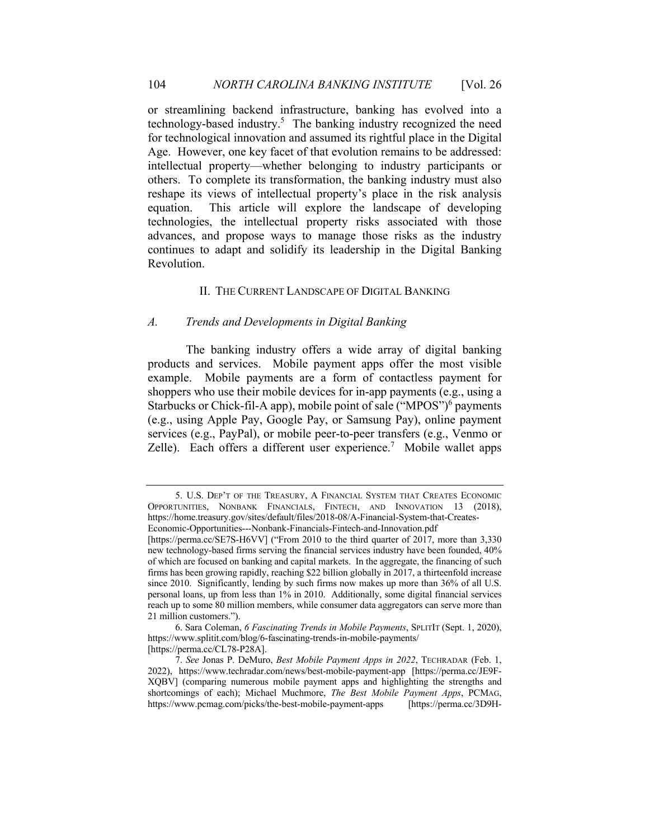or streamlining backend infrastructure, banking has evolved into a technology-based industry.<sup>5</sup> The banking industry recognized the need for technological innovation and assumed its rightful place in the Digital Age. However, one key facet of that evolution remains to be addressed: intellectual property—whether belonging to industry participants or others. To complete its transformation, the banking industry must also reshape its views of intellectual property's place in the risk analysis equation. This article will explore the landscape of developing technologies, the intellectual property risks associated with those advances, and propose ways to manage those risks as the industry continues to adapt and solidify its leadership in the Digital Banking Revolution.

#### II. THE CURRENT LANDSCAPE OF DIGITAL BANKING

#### *A. Trends and Developments in Digital Banking*

The banking industry offers a wide array of digital banking products and services. Mobile payment apps offer the most visible example. Mobile payments are a form of contactless payment for shoppers who use their mobile devices for in-app payments (e.g., using a Starbucks or Chick-fil-A app), mobile point of sale ("MPOS") $^6$  payments (e.g., using Apple Pay, Google Pay, or Samsung Pay), online payment services (e.g., PayPal), or mobile peer-to-peer transfers (e.g., Venmo or Zelle). Each offers a different user experience.<sup>7</sup> Mobile wallet apps

<sup>5.</sup> U.S. DEP'T OF THE TREASURY, A FINANCIAL SYSTEM THAT CREATES ECONOMIC OPPORTUNITIES, NONBANK FINANCIALS, FINTECH, AND INNOVATION 13 (2018), https://home.treasury.gov/sites/default/files/2018-08/A-Financial-System-that-Creates-Economic-Opportunities---Nonbank-Financials-Fintech-and-Innovation.pdf

<sup>[</sup>https://perma.cc/SE7S-H6VV] ("From 2010 to the third quarter of 2017, more than 3,330 new technology-based firms serving the financial services industry have been founded, 40% of which are focused on banking and capital markets. In the aggregate, the financing of such firms has been growing rapidly, reaching \$22 billion globally in 2017, a thirteenfold increase since 2010. Significantly, lending by such firms now makes up more than 36% of all U.S. personal loans, up from less than 1% in 2010. Additionally, some digital financial services reach up to some 80 million members, while consumer data aggregators can serve more than 21 million customers.").

<sup>6.</sup> Sara Coleman, *6 Fascinating Trends in Mobile Payments*, SPLITIT (Sept. 1, 2020), https://www.splitit.com/blog/6-fascinating-trends-in-mobile-payments/ [https://perma.cc/CL78-P28A].

<sup>7.</sup> *See* Jonas P. DeMuro, *Best Mobile Payment Apps in 2022*, TECHRADAR (Feb. 1, 2022), https://www.techradar.com/news/best-mobile-payment-app [https://perma.cc/JE9F-XQBV] (comparing numerous mobile payment apps and highlighting the strengths and shortcomings of each); Michael Muchmore, *The Best Mobile Payment Apps*, PCMAG, https://www.pcmag.com/picks/the-best-mobile-payment-apps [https://perma.cc/3D9H-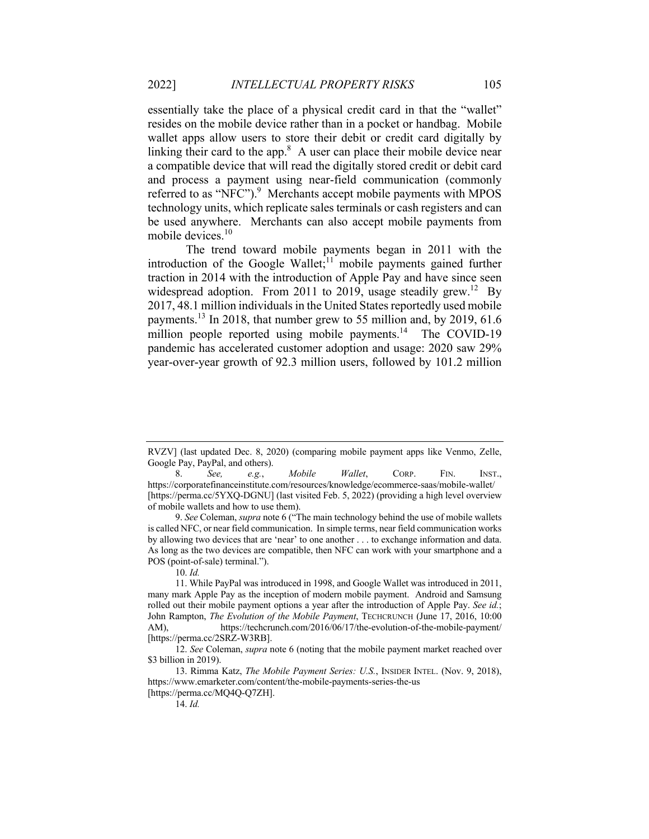essentially take the place of a physical credit card in that the "wallet" resides on the mobile device rather than in a pocket or handbag. Mobile wallet apps allow users to store their debit or credit card digitally by linking their card to the app. $8$  A user can place their mobile device near a compatible device that will read the digitally stored credit or debit card and process a payment using near-field communication (commonly referred to as "NFC").<sup>9</sup> Merchants accept mobile payments with MPOS technology units, which replicate sales terminals or cash registers and can be used anywhere. Merchants can also accept mobile payments from mobile devices.<sup>10</sup>

The trend toward mobile payments began in 2011 with the introduction of the Google Wallet; $\frac{1}{11}$  mobile payments gained further traction in 2014 with the introduction of Apple Pay and have since seen widespread adoption. From 2011 to 2019, usage steadily grew.<sup>12</sup> By 2017, 48.1 million individuals in the United States reportedly used mobile payments.<sup>13</sup> In 2018, that number grew to 55 million and, by 2019, 61.6 million people reported using mobile payments.<sup>14</sup> The COVID-19 pandemic has accelerated customer adoption and usage: 2020 saw 29% year-over-year growth of 92.3 million users, followed by 101.2 million

RVZV] (last updated Dec. 8, 2020) (comparing mobile payment apps like Venmo, Zelle, Google Pay, PayPal, and others).

<sup>8.</sup> *See, e.g.*, *Mobile Wallet*, CORP. FIN. INST., https://corporatefinanceinstitute.com/resources/knowledge/ecommerce-saas/mobile-wallet/ [https://perma.cc/5YXQ-DGNU] (last visited Feb. 5, 2022) (providing a high level overview of mobile wallets and how to use them).

<sup>9.</sup> *See* Coleman, *supra* note 6 ("The main technology behind the use of mobile wallets is called NFC, or near field communication. In simple terms, near field communication works by allowing two devices that are 'near' to one another . . . to exchange information and data. As long as the two devices are compatible, then NFC can work with your smartphone and a POS (point-of-sale) terminal.").

<sup>10.</sup> *Id.* 

<sup>11.</sup> While PayPal was introduced in 1998, and Google Wallet was introduced in 2011, many mark Apple Pay as the inception of modern mobile payment. Android and Samsung rolled out their mobile payment options a year after the introduction of Apple Pay. *See id.*; John Rampton, *The Evolution of the Mobile Payment*, TECHCRUNCH (June 17, 2016, 10:00 AM), https://techcrunch.com/2016/06/17/the-evolution-of-the-mobile-payment/ [https://perma.cc/2SRZ-W3RB].

<sup>12.</sup> *See* Coleman, *supra* note 6 (noting that the mobile payment market reached over \$3 billion in 2019).

<sup>13.</sup> Rimma Katz, *The Mobile Payment Series: U.S.*, INSIDER INTEL. (Nov. 9, 2018), https://www.emarketer.com/content/the-mobile-payments-series-the-us [https://perma.cc/MQ4Q-Q7ZH].

<sup>14.</sup> *Id.*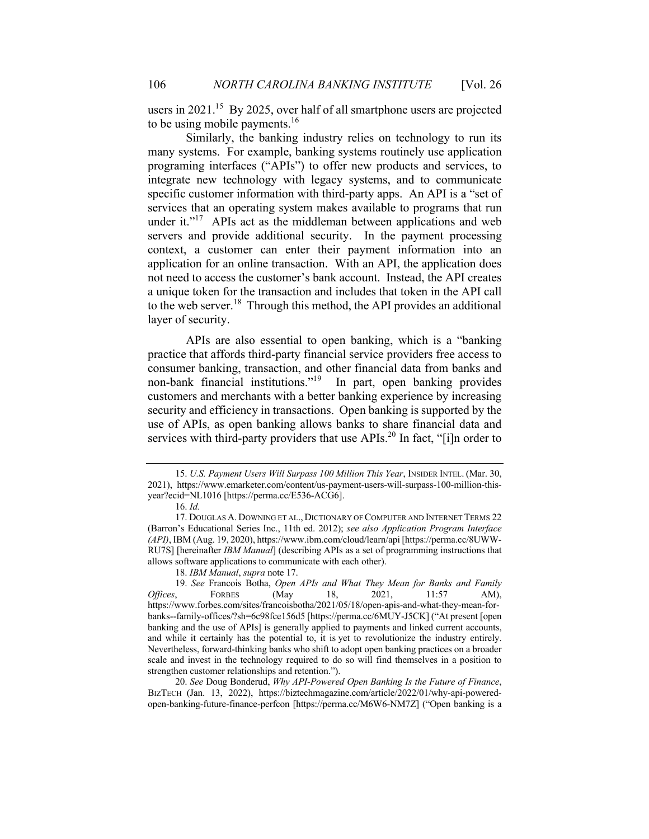users in 2021.<sup>15</sup> By 2025, over half of all smartphone users are projected to be using mobile payments.<sup>16</sup>

Similarly, the banking industry relies on technology to run its many systems. For example, banking systems routinely use application programing interfaces ("APIs") to offer new products and services, to integrate new technology with legacy systems, and to communicate specific customer information with third-party apps. An API is a "set of services that an operating system makes available to programs that run under it."<sup>17</sup> APIs act as the middleman between applications and web servers and provide additional security. In the payment processing context, a customer can enter their payment information into an application for an online transaction. With an API, the application does not need to access the customer's bank account. Instead, the API creates a unique token for the transaction and includes that token in the API call to the web server.<sup>18</sup> Through this method, the API provides an additional layer of security.

APIs are also essential to open banking, which is a "banking practice that affords third-party financial service providers free access to consumer banking, transaction, and other financial data from banks and non-bank financial institutions."19 In part, open banking provides customers and merchants with a better banking experience by increasing security and efficiency in transactions. Open banking is supported by the use of APIs, as open banking allows banks to share financial data and services with third-party providers that use APIs.<sup>20</sup> In fact, "[i]n order to

<sup>15.</sup> *U.S. Payment Users Will Surpass 100 Million This Year*, INSIDER INTEL. (Mar. 30, 2021), https://www.emarketer.com/content/us-payment-users-will-surpass-100-million-thisyear?ecid=NL1016 [https://perma.cc/E536-ACG6].

<sup>16.</sup> *Id.* 

<sup>17.</sup> DOUGLAS A. DOWNING ET AL., DICTIONARY OF COMPUTER AND INTERNET TERMS 22 (Barron's Educational Series Inc., 11th ed. 2012); *see also Application Program Interface (API)*, IBM (Aug. 19, 2020), https://www.ibm.com/cloud/learn/api [https://perma.cc/8UWW-RU7S] [hereinafter *IBM Manual*] (describing APIs as a set of programming instructions that allows software applications to communicate with each other).

<sup>18.</sup> *IBM Manual*, *supra* note 17.

<sup>19.</sup> *See* Francois Botha, *Open APIs and What They Mean for Banks and Family Offices*, FORBES (May 18, 2021, 11:57 AM), https://www.forbes.com/sites/francoisbotha/2021/05/18/open-apis-and-what-they-mean-forbanks--family-offices/?sh=6c98fce156d5 [https://perma.cc/6MUY-J5CK] ("At present [open banking and the use of APIs] is generally applied to payments and linked current accounts, and while it certainly has the potential to, it is yet to revolutionize the industry entirely. Nevertheless, forward-thinking banks who shift to adopt open banking practices on a broader scale and invest in the technology required to do so will find themselves in a position to strengthen customer relationships and retention.").

<sup>20.</sup> *See* Doug Bonderud, *Why API-Powered Open Banking Is the Future of Finance*, BIZTECH (Jan. 13, 2022), https://biztechmagazine.com/article/2022/01/why-api-poweredopen-banking-future-finance-perfcon [https://perma.cc/M6W6-NM7Z] ("Open banking is a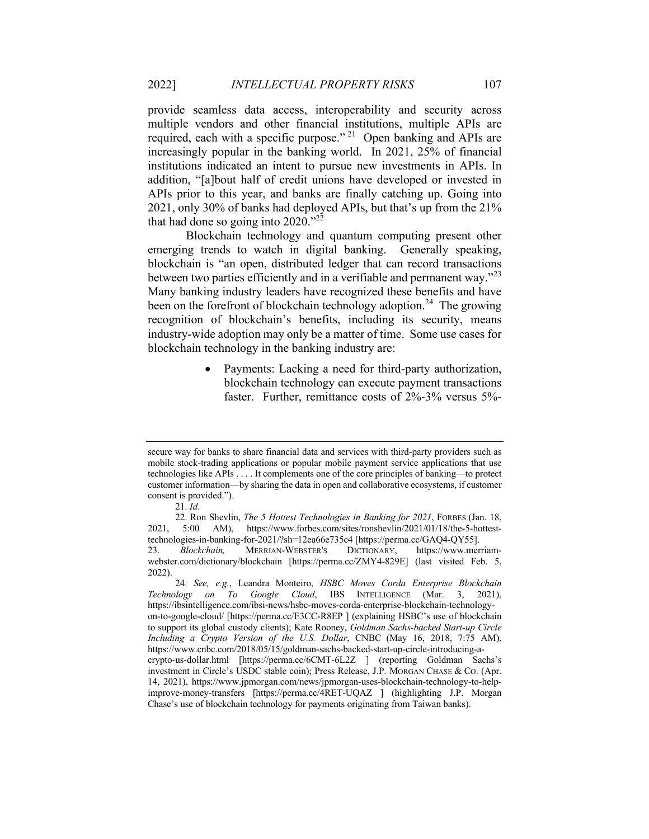provide seamless data access, interoperability and security across multiple vendors and other financial institutions, multiple APIs are required, each with a specific purpose."<sup>21</sup> Open banking and APIs are increasingly popular in the banking world. In 2021, 25% of financial institutions indicated an intent to pursue new investments in APIs. In addition, "[a]bout half of credit unions have developed or invested in APIs prior to this year, and banks are finally catching up. Going into 2021, only 30% of banks had deployed APIs, but that's up from the 21% that had done so going into  $2020$ ."<sup>22</sup>

Blockchain technology and quantum computing present other emerging trends to watch in digital banking. Generally speaking, blockchain is "an open, distributed ledger that can record transactions between two parties efficiently and in a verifiable and permanent way."<sup>23</sup> Many banking industry leaders have recognized these benefits and have been on the forefront of blockchain technology adoption.<sup>24</sup> The growing recognition of blockchain's benefits, including its security, means industry-wide adoption may only be a matter of time. Some use cases for blockchain technology in the banking industry are:

> Payments: Lacking a need for third-party authorization, blockchain technology can execute payment transactions faster. Further, remittance costs of 2%-3% versus 5%-

secure way for banks to share financial data and services with third-party providers such as mobile stock-trading applications or popular mobile payment service applications that use technologies like APIs . . . . It complements one of the core principles of banking—to protect customer information—by sharing the data in open and collaborative ecosystems, if customer consent is provided.").

<sup>21.</sup> *Id.*

<sup>22.</sup> Ron Shevlin, *The 5 Hottest Technologies in Banking for 2021*, FORBES (Jan. 18, 2021, 5:00 AM), https://www.forbes.com/sites/ronshevlin/2021/01/18/the-5-hottesttechnologies-in-banking-for-2021/?sh=12ea66e735c4 [https://perma.cc/GAQ4-QY55]. 23. *Blockchain,* MERRIAN-WEBSTER'S DICTIONARY, https://www.merriamwebster.com/dictionary/blockchain [https://perma.cc/ZMY4-829E] (last visited Feb. 5,

<sup>2022).</sup> 

<sup>24.</sup> *See, e.g.*, Leandra Monteiro, *HSBC Moves Corda Enterprise Blockchain Technology on To Google Cloud*, IBS INTELLIGENCE (Mar. 3, 2021), https://ibsintelligence.com/ibsi-news/hsbc-moves-corda-enterprise-blockchain-technologyon-to-google-cloud/ [https://perma.cc/E3CC-R8EP ] (explaining HSBC's use of blockchain to support its global custody clients); Kate Rooney, *Goldman Sachs-backed Start-up Circle Including a Crypto Version of the U.S. Dollar*, CNBC (May 16, 2018, 7:75 AM), https://www.cnbc.com/2018/05/15/goldman-sachs-backed-start-up-circle-introducing-acrypto-us-dollar.html [https://perma.cc/6CMT-6L2Z ] (reporting Goldman Sachs's investment in Circle's USDC stable coin); Press Release, J.P. MORGAN CHASE & CO. (Apr. 14, 2021), https://www.jpmorgan.com/news/jpmorgan-uses-blockchain-technology-to-helpimprove-money-transfers [https://perma.cc/4RET-UQAZ ] (highlighting J.P. Morgan Chase's use of blockchain technology for payments originating from Taiwan banks).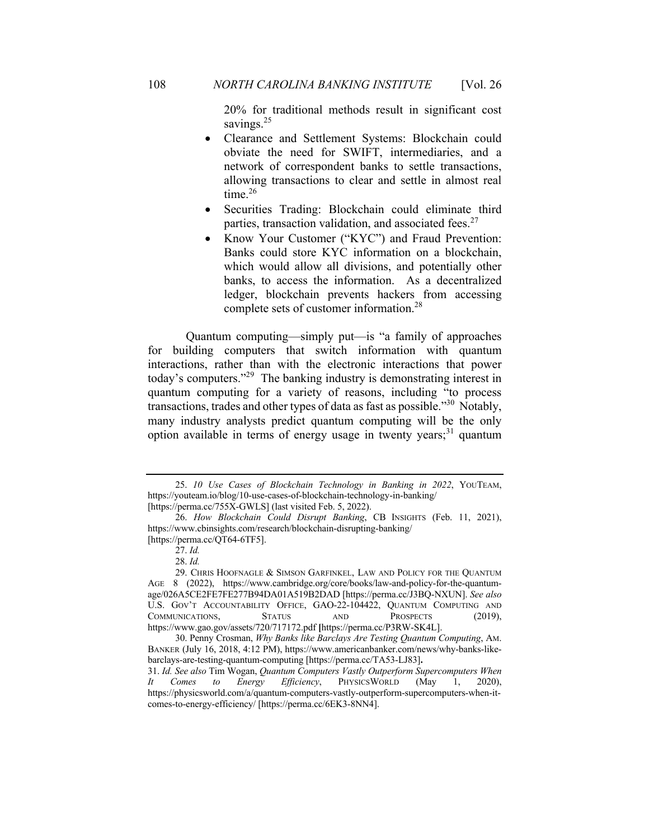20% for traditional methods result in significant cost savings.<sup>25</sup>

- Clearance and Settlement Systems: Blockchain could obviate the need for SWIFT, intermediaries, and a network of correspondent banks to settle transactions, allowing transactions to clear and settle in almost real time.<sup>26</sup>
- Securities Trading: Blockchain could eliminate third parties, transaction validation, and associated fees. $27$
- Know Your Customer ("KYC") and Fraud Prevention: Banks could store KYC information on a blockchain, which would allow all divisions, and potentially other banks, to access the information. As a decentralized ledger, blockchain prevents hackers from accessing complete sets of customer information.28

Quantum computing—simply put—is "a family of approaches for building computers that switch information with quantum interactions, rather than with the electronic interactions that power today's computers."29 The banking industry is demonstrating interest in quantum computing for a variety of reasons, including "to process transactions, trades and other types of data as fast as possible."30 Notably, many industry analysts predict quantum computing will be the only option available in terms of energy usage in twenty years; $31$  quantum

<sup>25.</sup> *10 Use Cases of Blockchain Technology in Banking in 2022*, YOUTEAM, https://youteam.io/blog/10-use-cases-of-blockchain-technology-in-banking/ [https://perma.cc/755X-GWLS] (last visited Feb. 5, 2022).

<sup>26.</sup> *How Blockchain Could Disrupt Banking*, CB INSIGHTS (Feb. 11, 2021), https://www.cbinsights.com/research/blockchain-disrupting-banking/

<sup>[</sup>https://perma.cc/QT64-6TF5]. 27. *Id.*

<sup>28.</sup> *Id.*

<sup>29.</sup> CHRIS HOOFNAGLE & SIMSON GARFINKEL, LAW AND POLICY FOR THE QUANTUM AGE 8 (2022), https://www.cambridge.org/core/books/law-and-policy-for-the-quantumage/026A5CE2FE7FE277B94DA01A519B2DAD [https://perma.cc/J3BQ-NXUN]. *See also*  U.S. GOV'T ACCOUNTABILITY OFFICE, GAO-22-104422, QUANTUM COMPUTING AND COMMUNICATIONS, STATUS AND PROSPECTS (2019), https://www.gao.gov/assets/720/717172.pdf **[**https://perma.cc/P3RW-SK4L].

<sup>30.</sup> Penny Crosman, *Why Banks like Barclays Are Testing Quantum Computing*, AM. BANKER (July 16, 2018, 4:12 PM), https://www.americanbanker.com/news/why-banks-likebarclays-are-testing-quantum-computing [https://perma.cc/TA53-LJ83]**.** 

<sup>31.</sup> *Id. See also* Tim Wogan, *Quantum Computers Vastly Outperform Supercomputers When It Comes to Energy Efficiency*, PHYSICSWORLD (May 1, 2020), https://physicsworld.com/a/quantum-computers-vastly-outperform-supercomputers-when-itcomes-to-energy-efficiency/ [https://perma.cc/6EK3-8NN4].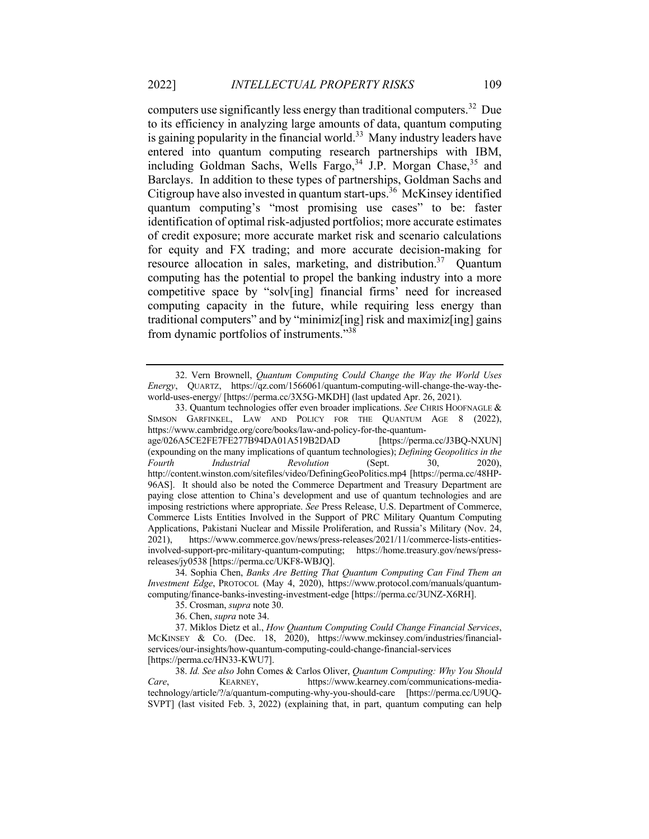computers use significantly less energy than traditional computers.32 Due to its efficiency in analyzing large amounts of data, quantum computing is gaining popularity in the financial world.<sup>33</sup> Many industry leaders have entered into quantum computing research partnerships with IBM, including Goldman Sachs, Wells Fargo,  $34$  J.P. Morgan Chase,  $35$  and Barclays. In addition to these types of partnerships, Goldman Sachs and Citigroup have also invested in quantum start-ups.<sup>36</sup> McKinsey identified quantum computing's "most promising use cases" to be: faster identification of optimal risk-adjusted portfolios; more accurate estimates of credit exposure; more accurate market risk and scenario calculations for equity and FX trading; and more accurate decision-making for resource allocation in sales, marketing, and distribution.<sup>37</sup> Quantum computing has the potential to propel the banking industry into a more competitive space by "solv[ing] financial firms' need for increased computing capacity in the future, while requiring less energy than traditional computers" and by "minimiz[ing] risk and maximiz[ing] gains from dynamic portfolios of instruments."38

34. Sophia Chen, *Banks Are Betting That Quantum Computing Can Find Them an Investment Edge*, PROTOCOL (May 4, 2020), https://www.protocol.com/manuals/quantumcomputing/finance-banks-investing-investment-edge [https://perma.cc/3UNZ-X6RH].

<sup>32.</sup> Vern Brownell, *Quantum Computing Could Change the Way the World Uses Energy*, QUARTZ, https://qz.com/1566061/quantum-computing-will-change-the-way-theworld-uses-energy/ [https://perma.cc/3X5G-MKDH] (last updated Apr. 26, 2021).

<sup>33.</sup> Quantum technologies offer even broader implications. *See* CHRIS HOOFNAGLE & SIMSON GARFINKEL, LAW AND POLICY FOR THE QUANTUM AGE 8 (2022), https://www.cambridge.org/core/books/law-and-policy-for-the-quantumage/026A5CE2FE7FE277B94DA01A519B2DAD [https://perma.cc/J3BQ-NXUN] (expounding on the many implications of quantum technologies); *Defining Geopolitics in the Fourth Industrial Revolution* (Sept. 30, 2020), http://content.winston.com/sitefiles/video/DefiningGeoPolitics.mp4 [https://perma.cc/48HP-96AS]. It should also be noted the Commerce Department and Treasury Department are paying close attention to China's development and use of quantum technologies and are imposing restrictions where appropriate. *See* Press Release, U.S. Department of Commerce, Commerce Lists Entities Involved in the Support of PRC Military Quantum Computing Applications, Pakistani Nuclear and Missile Proliferation, and Russia's Military (Nov. 24, 2021), https://www.commerce.gov/news/press-releases/2021/11/commerce-lists-entitiesinvolved-support-prc-military-quantum-computing; https://home.treasury.gov/news/pressreleases/jy0538 [https://perma.cc/UKF8-WBJQ].

<sup>35.</sup> Crosman, *supra* note 30.

<sup>36.</sup> Chen, *supra* note 34.

<sup>37.</sup> Miklos Dietz et al., *How Quantum Computing Could Change Financial Services*, MCKINSEY & CO. (Dec. 18, 2020), https://www.mckinsey.com/industries/financialservices/our-insights/how-quantum-computing-could-change-financial-services [https://perma.cc/HN33-KWU7].

<sup>38.</sup> *Id. See also* John Comes & Carlos Oliver, *Quantum Computing: Why You Should Care*, KEARNEY, https://www.kearney.com/communications-mediatechnology/article/?/a/quantum-computing-why-you-should-care [https://perma.cc/U9UQ-SVPT] (last visited Feb. 3, 2022) (explaining that, in part, quantum computing can help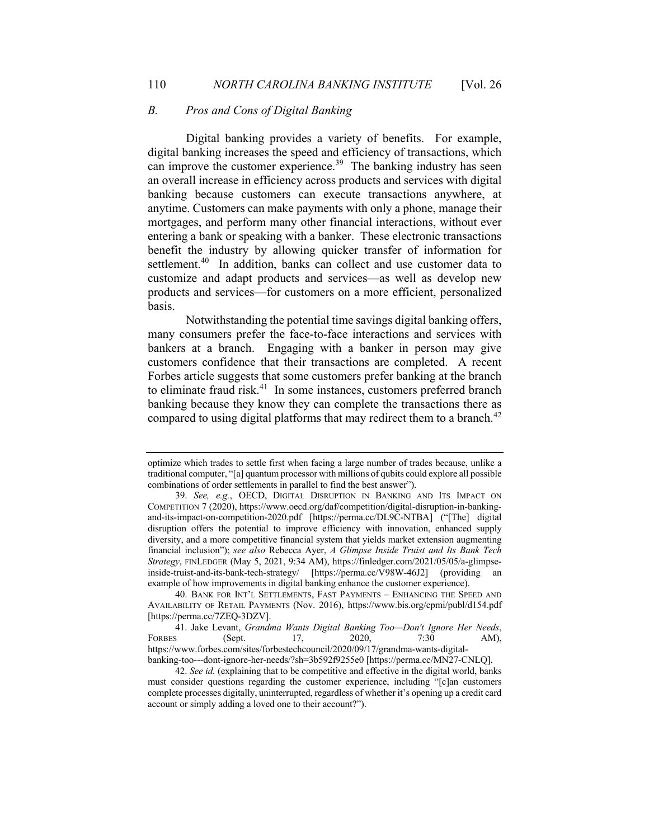## *B. Pros and Cons of Digital Banking*

Digital banking provides a variety of benefits. For example, digital banking increases the speed and efficiency of transactions, which can improve the customer experience.<sup>39</sup> The banking industry has seen an overall increase in efficiency across products and services with digital banking because customers can execute transactions anywhere, at anytime. Customers can make payments with only a phone, manage their mortgages, and perform many other financial interactions, without ever entering a bank or speaking with a banker. These electronic transactions benefit the industry by allowing quicker transfer of information for settlement.<sup>40</sup> In addition, banks can collect and use customer data to customize and adapt products and services—as well as develop new products and services—for customers on a more efficient, personalized basis.

Notwithstanding the potential time savings digital banking offers, many consumers prefer the face-to-face interactions and services with bankers at a branch. Engaging with a banker in person may give customers confidence that their transactions are completed. A recent Forbes article suggests that some customers prefer banking at the branch to eliminate fraud risk.<sup>41</sup> In some instances, customers preferred branch banking because they know they can complete the transactions there as compared to using digital platforms that may redirect them to a branch.<sup>42</sup>

optimize which trades to settle first when facing a large number of trades because, unlike a traditional computer, "[a] quantum processor with millions of qubits could explore all possible combinations of order settlements in parallel to find the best answer").

<sup>39.</sup> *See, e.g.*, OECD, DIGITAL DISRUPTION IN BANKING AND ITS IMPACT ON COMPETITION 7 (2020), https://www.oecd.org/daf/competition/digital-disruption-in-bankingand-its-impact-on-competition-2020.pdf [https://perma.cc/DL9C-NTBA] ("[The] digital disruption offers the potential to improve efficiency with innovation, enhanced supply diversity, and a more competitive financial system that yields market extension augmenting financial inclusion"); *see also* Rebecca Ayer, *A Glimpse Inside Truist and Its Bank Tech Strategy*, FINLEDGER (May 5, 2021, 9:34 AM), https://finledger.com/2021/05/05/a-glimpseinside-truist-and-its-bank-tech-strategy/ [https://perma.cc/V98W-46J2] (providing an example of how improvements in digital banking enhance the customer experience).

<sup>40.</sup> BANK FOR INT'L SETTLEMENTS, FAST PAYMENTS – ENHANCING THE SPEED AND AVAILABILITY OF RETAIL PAYMENTS (Nov. 2016), https://www.bis.org/cpmi/publ/d154.pdf [https://perma.cc/7ZEQ-3DZV].

<sup>41.</sup> Jake Levant, *Grandma Wants Digital Banking Too—Don't Ignore Her Needs*, FORBES (Sept. 17, 2020, 7:30 AM), https://www.forbes.com/sites/forbestechcouncil/2020/09/17/grandma-wants-digital-

banking-too---dont-ignore-her-needs/?sh=3b592f9255e0 [https://perma.cc/MN27-CNLQ].

<sup>42.</sup> *See id.* (explaining that to be competitive and effective in the digital world, banks must consider questions regarding the customer experience, including "[c]an customers complete processes digitally, uninterrupted, regardless of whether it's opening up a credit card account or simply adding a loved one to their account?").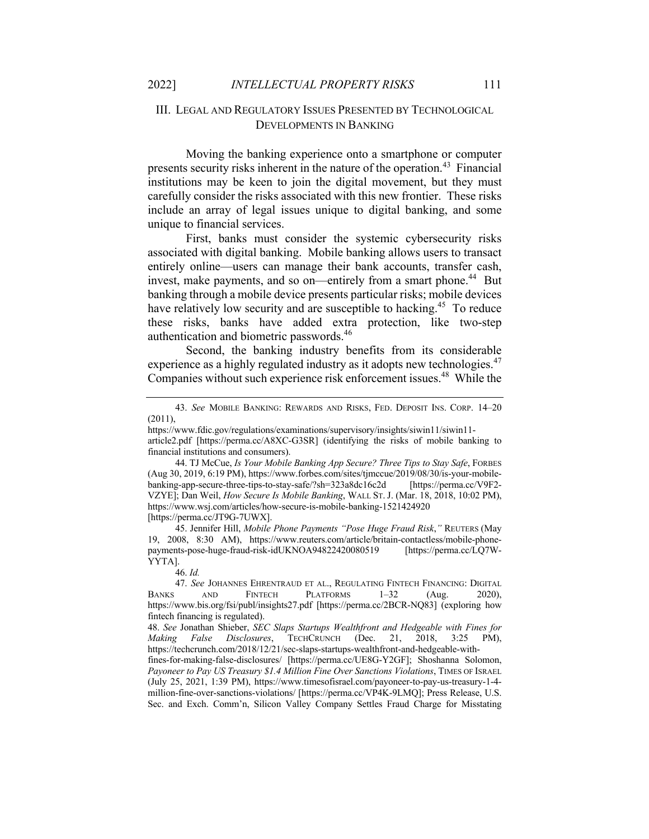### III. LEGAL AND REGULATORY ISSUES PRESENTED BY TECHNOLOGICAL DEVELOPMENTS IN BANKING

Moving the banking experience onto a smartphone or computer presents security risks inherent in the nature of the operation.<sup>43</sup> Financial institutions may be keen to join the digital movement, but they must carefully consider the risks associated with this new frontier. These risks include an array of legal issues unique to digital banking, and some unique to financial services.

First, banks must consider the systemic cybersecurity risks associated with digital banking. Mobile banking allows users to transact entirely online—users can manage their bank accounts, transfer cash, invest, make payments, and so on—entirely from a smart phone.<sup>44</sup> But banking through a mobile device presents particular risks; mobile devices have relatively low security and are susceptible to hacking.<sup>45</sup> To reduce these risks, banks have added extra protection, like two-step authentication and biometric passwords.46

Second, the banking industry benefits from its considerable experience as a highly regulated industry as it adopts new technologies.<sup>47</sup> Companies without such experience risk enforcement issues.<sup>48</sup> While the

45. Jennifer Hill, *Mobile Phone Payments "Pose Huge Fraud Risk*,*"* REUTERS (May 19, 2008, 8:30 AM), https://www.reuters.com/article/britain-contactless/mobile-phonepayments-pose-huge-fraud-risk-idUKNOA94822420080519 [https://perma.cc/LQ7W-YYTA].

46. *Id.*

<sup>43.</sup> *See* MOBILE BANKING: REWARDS AND RISKS, FED. DEPOSIT INS. CORP. 14–20 (2011),

https://www.fdic.gov/regulations/examinations/supervisory/insights/siwin11/siwin11-

article2.pdf [https://perma.cc/A8XC-G3SR] (identifying the risks of mobile banking to financial institutions and consumers).

<sup>44.</sup> TJ McCue, *Is Your Mobile Banking App Secure? Three Tips to Stay Safe*, FORBES (Aug 30, 2019, 6:19 PM), https://www.forbes.com/sites/tjmccue/2019/08/30/is-your-mobilebanking-app-secure-three-tips-to-stay-safe/?sh=323a8dc16c2d [https://perma.cc/V9F2- VZYE]; Dan Weil, *How Secure Is Mobile Banking*, WALL ST. J. (Mar. 18, 2018, 10:02 PM), https://www.wsj.com/articles/how-secure-is-mobile-banking-1521424920 [https://perma.cc/JT9G-7UWX].

<sup>47.</sup> *See* JOHANNES EHRENTRAUD ET AL., REGULATING FINTECH FINANCING: DIGITAL BANKS AND FINTECH PLATFORMS 1-32 (Aug. 2020), https://www.bis.org/fsi/publ/insights27.pdf [https://perma.cc/2BCR-NQ83] (exploring how fintech financing is regulated).

<sup>48.</sup> *See* Jonathan Shieber, *SEC Slaps Startups Wealthfront and Hedgeable with Fines for Making False Disclosures*, TECHCRUNCH (Dec. 21, 2018, 3:25 PM), https://techcrunch.com/2018/12/21/sec-slaps-startups-wealthfront-and-hedgeable-with-

fines-for-making-false-disclosures/ [https://perma.cc/UE8G-Y2GF]; Shoshanna Solomon, *Payoneer to Pay US Treasury \$1.4 Million Fine Over Sanctions Violations*, TIMES OF ISRAEL (July 25, 2021, 1:39 PM), https://www.timesofisrael.com/payoneer-to-pay-us-treasury-1-4 million-fine-over-sanctions-violations/ [https://perma.cc/VP4K-9LMQ]; Press Release, U.S. Sec. and Exch. Comm'n, Silicon Valley Company Settles Fraud Charge for Misstating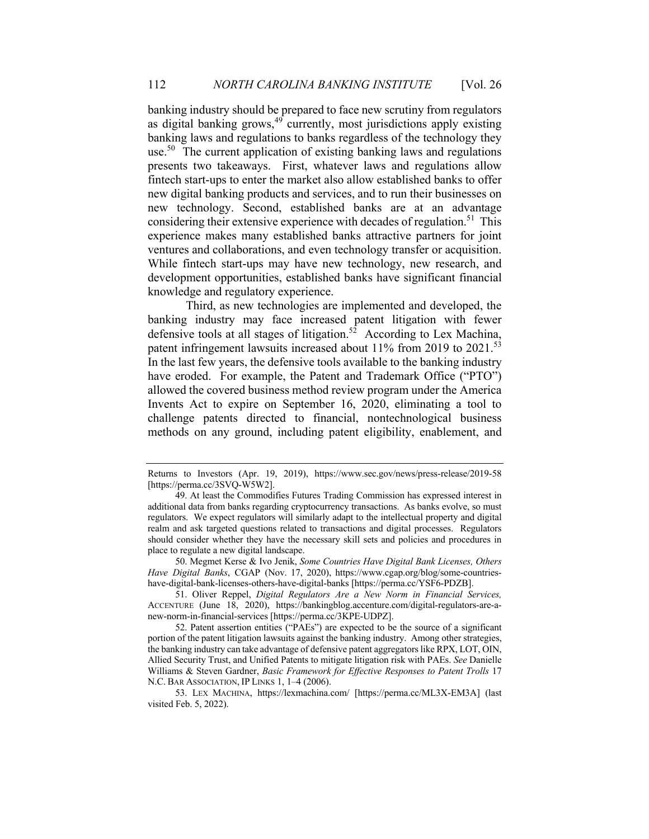banking industry should be prepared to face new scrutiny from regulators as digital banking grows, $49$  currently, most jurisdictions apply existing banking laws and regulations to banks regardless of the technology they use.<sup>50</sup> The current application of existing banking laws and regulations presents two takeaways. First, whatever laws and regulations allow fintech start-ups to enter the market also allow established banks to offer new digital banking products and services, and to run their businesses on new technology. Second, established banks are at an advantage considering their extensive experience with decades of regulation.<sup>51</sup> This experience makes many established banks attractive partners for joint ventures and collaborations, and even technology transfer or acquisition. While fintech start-ups may have new technology, new research, and development opportunities, established banks have significant financial knowledge and regulatory experience.

Third, as new technologies are implemented and developed, the banking industry may face increased patent litigation with fewer defensive tools at all stages of litigation.<sup>52</sup> According to Lex Machina, patent infringement lawsuits increased about 11% from 2019 to 2021.<sup>53</sup> In the last few years, the defensive tools available to the banking industry have eroded. For example, the Patent and Trademark Office ("PTO") allowed the covered business method review program under the America Invents Act to expire on September 16, 2020, eliminating a tool to challenge patents directed to financial, nontechnological business methods on any ground, including patent eligibility, enablement, and

Returns to Investors (Apr. 19, 2019), https://www.sec.gov/news/press-release/2019-58 [https://perma.cc/3SVQ-W5W2].

<sup>49.</sup> At least the Commodifies Futures Trading Commission has expressed interest in additional data from banks regarding cryptocurrency transactions. As banks evolve, so must regulators. We expect regulators will similarly adapt to the intellectual property and digital realm and ask targeted questions related to transactions and digital processes. Regulators should consider whether they have the necessary skill sets and policies and procedures in place to regulate a new digital landscape.

<sup>50.</sup> Megmet Kerse & Ivo Jenik, *Some Countries Have Digital Bank Licenses, Others Have Digital Banks*, CGAP (Nov. 17, 2020), https://www.cgap.org/blog/some-countrieshave-digital-bank-licenses-others-have-digital-banks [https://perma.cc/YSF6-PDZB].

<sup>51.</sup> Oliver Reppel, *Digital Regulators Are a New Norm in Financial Services,*  ACCENTURE (June 18, 2020), https://bankingblog.accenture.com/digital-regulators-are-anew-norm-in-financial-services [https://perma.cc/3KPE-UDPZ].

<sup>52.</sup> Patent assertion entities ("PAEs") are expected to be the source of a significant portion of the patent litigation lawsuits against the banking industry. Among other strategies, the banking industry can take advantage of defensive patent aggregators like RPX, LOT, OIN, Allied Security Trust, and Unified Patents to mitigate litigation risk with PAEs. *See* Danielle Williams & Steven Gardner, *Basic Framework for Effective Responses to Patent Trolls* 17 N.C. BAR ASSOCIATION, IP LINKS 1, 1–4 (2006).

<sup>53.</sup> LEX MACHINA, https://lexmachina.com/ [https://perma.cc/ML3X-EM3A] (last visited Feb. 5, 2022).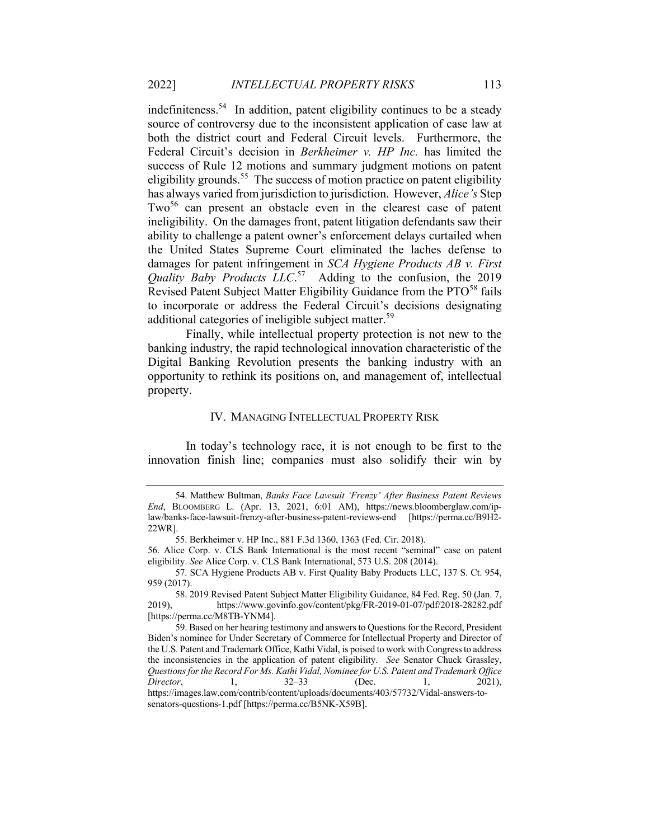indefiniteness.54 In addition, patent eligibility continues to be a steady source of controversy due to the inconsistent application of case law at both the district court and Federal Circuit levels. Furthermore, the Federal Circuit's decision in *Berkheimer v. HP Inc.* has limited the success of Rule 12 motions and summary judgment motions on patent eligibility grounds.<sup>55</sup> The success of motion practice on patent eligibility has always varied from jurisdiction to jurisdiction. However, *Alice's* Step Two<sup>56</sup> can present an obstacle even in the clearest case of patent ineligibility. On the damages front, patent litigation defendants saw their ability to challenge a patent owner's enforcement delays curtailed when the United States Supreme Court eliminated the laches defense to damages for patent infringement in *SCA Hygiene Products AB v. First Quality Baby Products LLC*. 57 Adding to the confusion, the 2019 Revised Patent Subject Matter Eligibility Guidance from the PTO<sup>58</sup> fails to incorporate or address the Federal Circuit's decisions designating additional categories of ineligible subject matter.<sup>59</sup>

Finally, while intellectual property protection is not new to the banking industry, the rapid technological innovation characteristic of the Digital Banking Revolution presents the banking industry with an opportunity to rethink its positions on, and management of, intellectual property.

#### IV. MANAGING INTELLECTUAL PROPERTY RISK

In today's technology race, it is not enough to be first to the innovation finish line; companies must also solidify their win by

<sup>54.</sup> Matthew Bultman, *Banks Face Lawsuit 'Frenzy' After Business Patent Reviews End*, BLOOMBERG L. (Apr. 13, 2021, 6:01 AM), https://news.bloomberglaw.com/iplaw/banks-face-lawsuit-frenzy-after-business-patent-reviews-end [https://perma.cc/B9H2- 22WR].

<sup>55.</sup> Berkheimer v. HP Inc., 881 F.3d 1360, 1363 (Fed. Cir. 2018).

<sup>56.</sup> Alice Corp. v. CLS Bank International is the most recent "seminal" case on patent eligibility. *See* Alice Corp. v. CLS Bank International, 573 U.S. 208 (2014).

<sup>57.</sup> SCA Hygiene Products AB v. First Quality Baby Products LLC, 137 S. Ct. 954, 959 (2017).

<sup>58. 2019</sup> Revised Patent Subject Matter Eligibility Guidance, 84 Fed. Reg. 50 (Jan. 7, 2019), https://www.govinfo.gov/content/pkg/FR-2019-01-07/pdf/2018-28282.pdf [https://perma.cc/M8TB-YNM4].

<sup>59.</sup> Based on her hearing testimony and answers to Questions for the Record, President Biden's nominee for Under Secretary of Commerce for Intellectual Property and Director of the U.S. Patent and Trademark Office, Kathi Vidal, is poised to work with Congress to address the inconsistencies in the application of patent eligibility. *See* Senator Chuck Grassley, *Questions for the Record For Ms. Kathi Vidal, Nominee for U.S. Patent and Trademark Office Director*, 1, 32–33 (Dec. 1, 2021), https://images.law.com/contrib/content/uploads/documents/403/57732/Vidal-answers-tosenators-questions-1.pdf [https://perma.cc/B5NK-X59B].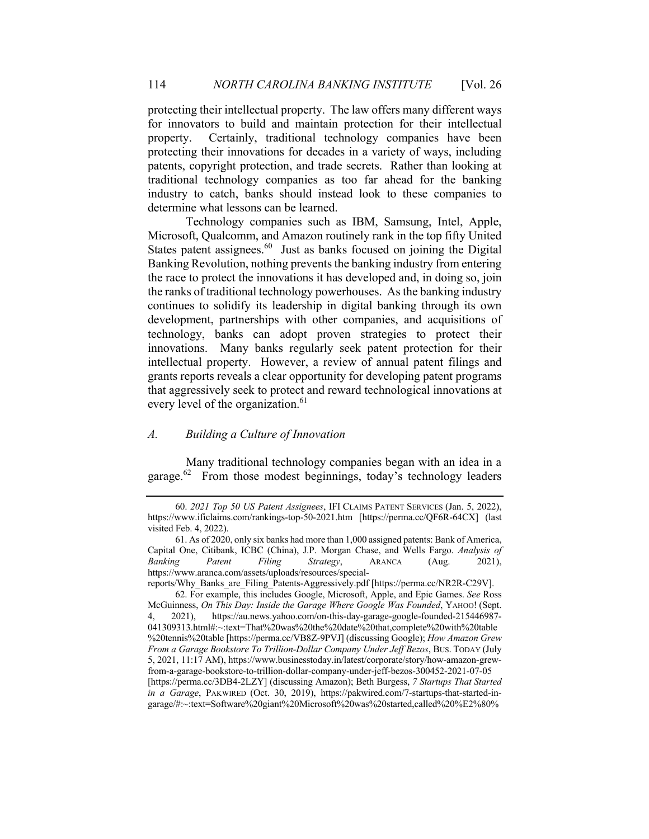protecting their intellectual property. The law offers many different ways for innovators to build and maintain protection for their intellectual property. Certainly, traditional technology companies have been protecting their innovations for decades in a variety of ways, including patents, copyright protection, and trade secrets. Rather than looking at traditional technology companies as too far ahead for the banking industry to catch, banks should instead look to these companies to determine what lessons can be learned.

Technology companies such as IBM, Samsung, Intel, Apple, Microsoft, Qualcomm, and Amazon routinely rank in the top fifty United States patent assignees.<sup>60</sup> Just as banks focused on joining the Digital Banking Revolution, nothing prevents the banking industry from entering the race to protect the innovations it has developed and, in doing so, join the ranks of traditional technology powerhouses. As the banking industry continues to solidify its leadership in digital banking through its own development, partnerships with other companies, and acquisitions of technology, banks can adopt proven strategies to protect their innovations. Many banks regularly seek patent protection for their intellectual property. However, a review of annual patent filings and grants reports reveals a clear opportunity for developing patent programs that aggressively seek to protect and reward technological innovations at every level of the organization.<sup>61</sup>

#### *A. Building a Culture of Innovation*

Many traditional technology companies began with an idea in a garage. $62$  From those modest beginnings, today's technology leaders

<sup>60.</sup> *2021 Top 50 US Patent Assignees*, IFI CLAIMS PATENT SERVICES (Jan. 5, 2022), https://www.ificlaims.com/rankings-top-50-2021.htm [https://perma.cc/QF6R-64CX] (last visited Feb. 4, 2022).

<sup>61.</sup> As of 2020, only six banks had more than 1,000 assigned patents: Bank of America, Capital One, Citibank, ICBC (China), J.P. Morgan Chase, and Wells Fargo. *Analysis of Banking Patent Filing Strategy*, ARANCA (Aug. 2021), https://www.aranca.com/assets/uploads/resources/special-

reports/Why\_Banks\_are\_Filing\_Patents-Aggressively.pdf [https://perma.cc/NR2R-C29V].

<sup>62.</sup> For example, this includes Google, Microsoft, Apple, and Epic Games. *See* Ross McGuinness, *On This Day: Inside the Garage Where Google Was Founded*, YAHOO! (Sept. 4, 2021), https://au.news.yahoo.com/on-this-day-garage-google-founded-215446987- 041309313.html#:~:text=That%20was%20the%20date%20that,complete%20with%20table %20tennis%20table [https://perma.cc/VB8Z-9PVJ] (discussing Google); *How Amazon Grew From a Garage Bookstore To Trillion-Dollar Company Under Jeff Bezos*, BUS. TODAY (July 5, 2021, 11:17 AM), https://www.businesstoday.in/latest/corporate/story/how-amazon-grewfrom-a-garage-bookstore-to-trillion-dollar-company-under-jeff-bezos-300452-2021-07-05 [https://perma.cc/3DB4-2LZY] (discussing Amazon); Beth Burgess, *7 Startups That Started in a Garage*, PAKWIRED (Oct. 30, 2019), https://pakwired.com/7-startups-that-started-ingarage/#:~:text=Software%20giant%20Microsoft%20was%20started,called%20%E2%80%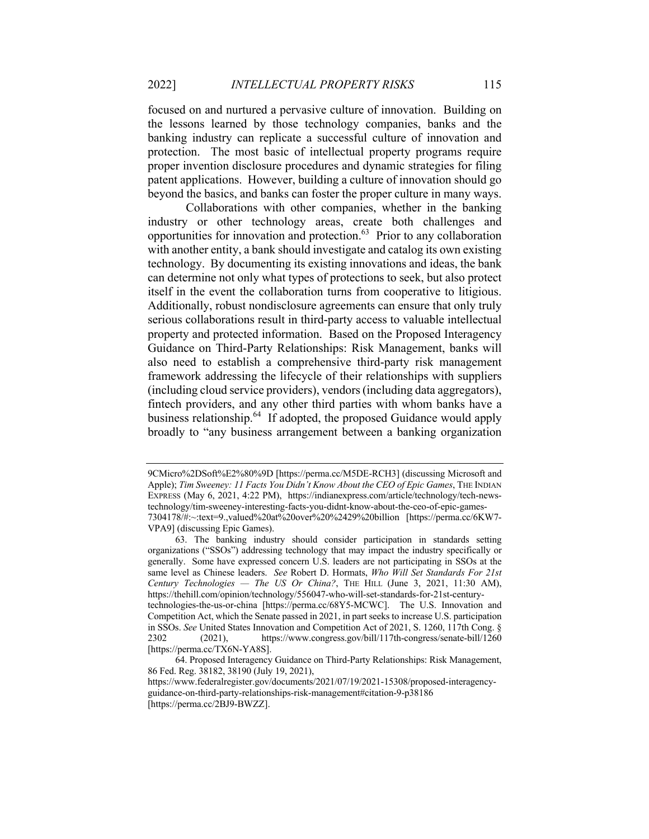focused on and nurtured a pervasive culture of innovation. Building on the lessons learned by those technology companies, banks and the banking industry can replicate a successful culture of innovation and protection. The most basic of intellectual property programs require proper invention disclosure procedures and dynamic strategies for filing patent applications. However, building a culture of innovation should go beyond the basics, and banks can foster the proper culture in many ways.

Collaborations with other companies, whether in the banking industry or other technology areas, create both challenges and opportunities for innovation and protection.63 Prior to any collaboration with another entity, a bank should investigate and catalog its own existing technology. By documenting its existing innovations and ideas, the bank can determine not only what types of protections to seek, but also protect itself in the event the collaboration turns from cooperative to litigious. Additionally, robust nondisclosure agreements can ensure that only truly serious collaborations result in third-party access to valuable intellectual property and protected information. Based on the Proposed Interagency Guidance on Third-Party Relationships: Risk Management, banks will also need to establish a comprehensive third-party risk management framework addressing the lifecycle of their relationships with suppliers (including cloud service providers), vendors (including data aggregators), fintech providers, and any other third parties with whom banks have a business relationship.64 If adopted, the proposed Guidance would apply broadly to "any business arrangement between a banking organization

<sup>9</sup>CMicro%2DSoft%E2%80%9D [https://perma.cc/M5DE-RCH3] (discussing Microsoft and Apple); *Tim Sweeney: 11 Facts You Didn't Know About the CEO of Epic Games*, THE INDIAN EXPRESS (May 6, 2021, 4:22 PM), https://indianexpress.com/article/technology/tech-newstechnology/tim-sweeney-interesting-facts-you-didnt-know-about-the-ceo-of-epic-games-7304178/#:~:text=9.,valued%20at%20over%20%2429%20billion [https://perma.cc/6KW7- VPA9] (discussing Epic Games).

<sup>63.</sup> The banking industry should consider participation in standards setting organizations ("SSOs") addressing technology that may impact the industry specifically or generally. Some have expressed concern U.S. leaders are not participating in SSOs at the same level as Chinese leaders. *See* Robert D. Hormats, *Who Will Set Standards For 21st Century Technologies — The US Or China?*, THE HILL (June 3, 2021, 11:30 AM), https://thehill.com/opinion/technology/556047-who-will-set-standards-for-21st-centurytechnologies-the-us-or-china [https://perma.cc/68Y5-MCWC]. The U.S. Innovation and Competition Act, which the Senate passed in 2021, in part seeks to increase U.S. participation in SSOs. *See* United States Innovation and Competition Act of 2021, S. 1260, 117th Cong. § 2302 (2021), https://www.congress.gov/bill/117th-congress/senate-bill/1260 [https://perma.cc/TX6N-YA8S].

<sup>64.</sup> Proposed Interagency Guidance on Third-Party Relationships: Risk Management, 86 Fed. Reg. 38182, 38190 (July 19, 2021),

https://www.federalregister.gov/documents/2021/07/19/2021-15308/proposed-interagencyguidance-on-third-party-relationships-risk-management#citation-9-p38186 [https://perma.cc/2BJ9-BWZZ].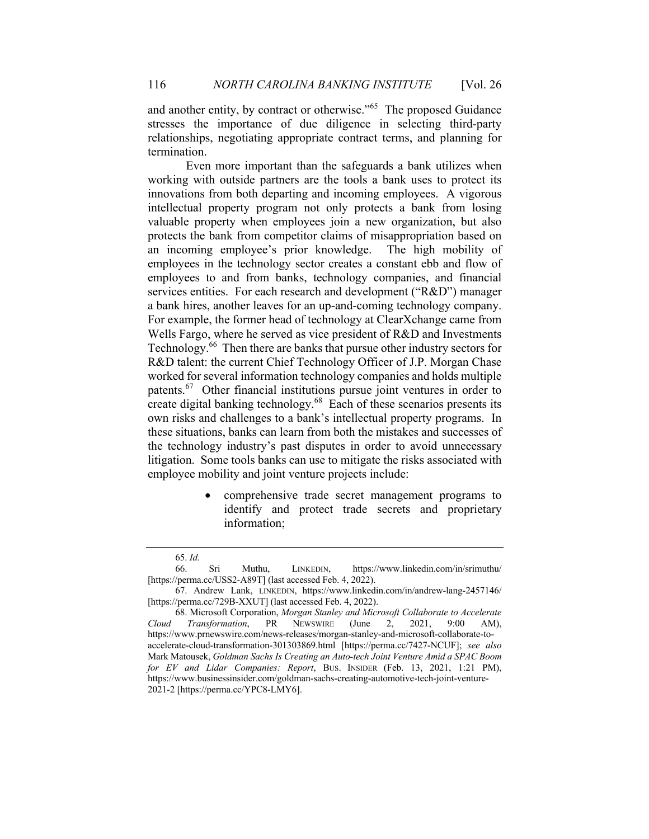and another entity, by contract or otherwise."65 The proposed Guidance stresses the importance of due diligence in selecting third-party relationships, negotiating appropriate contract terms, and planning for termination.

Even more important than the safeguards a bank utilizes when working with outside partners are the tools a bank uses to protect its innovations from both departing and incoming employees. A vigorous intellectual property program not only protects a bank from losing valuable property when employees join a new organization, but also protects the bank from competitor claims of misappropriation based on an incoming employee's prior knowledge. The high mobility of employees in the technology sector creates a constant ebb and flow of employees to and from banks, technology companies, and financial services entities. For each research and development ("R&D") manager a bank hires, another leaves for an up-and-coming technology company. For example, the former head of technology at ClearXchange came from Wells Fargo, where he served as vice president of R&D and Investments Technology.66 Then there are banks that pursue other industry sectors for R&D talent: the current Chief Technology Officer of J.P. Morgan Chase worked for several information technology companies and holds multiple patents.67 Other financial institutions pursue joint ventures in order to create digital banking technology.<sup>68</sup> Each of these scenarios presents its own risks and challenges to a bank's intellectual property programs. In these situations, banks can learn from both the mistakes and successes of the technology industry's past disputes in order to avoid unnecessary litigation. Some tools banks can use to mitigate the risks associated with employee mobility and joint venture projects include:

> • comprehensive trade secret management programs to identify and protect trade secrets and proprietary information;

<sup>65.</sup> *Id.*

<sup>66.</sup> Sri Muthu, LINKEDIN, https://www.linkedin.com/in/srimuthu/ [https://perma.cc/USS2-A89T] (last accessed Feb. 4, 2022).

<sup>67.</sup> Andrew Lank, LINKEDIN, https://www.linkedin.com/in/andrew-lang-2457146/ [https://perma.cc/729B-XXUT] (last accessed Feb. 4, 2022).

<sup>68.</sup> Microsoft Corporation, *Morgan Stanley and Microsoft Collaborate to Accelerate Cloud Transformation*, PR NEWSWIRE (June 2, 2021, 9:00 AM), https://www.prnewswire.com/news-releases/morgan-stanley-and-microsoft-collaborate-toaccelerate-cloud-transformation-301303869.html [https://perma.cc/7427-NCUF]; *see also*  Mark Matousek, *Goldman Sachs Is Creating an Auto-tech Joint Venture Amid a SPAC Boom for EV and Lidar Companies: Report*, BUS. INSIDER (Feb. 13, 2021, 1:21 PM), https://www.businessinsider.com/goldman-sachs-creating-automotive-tech-joint-venture-2021-2 [https://perma.cc/YPC8-LMY6].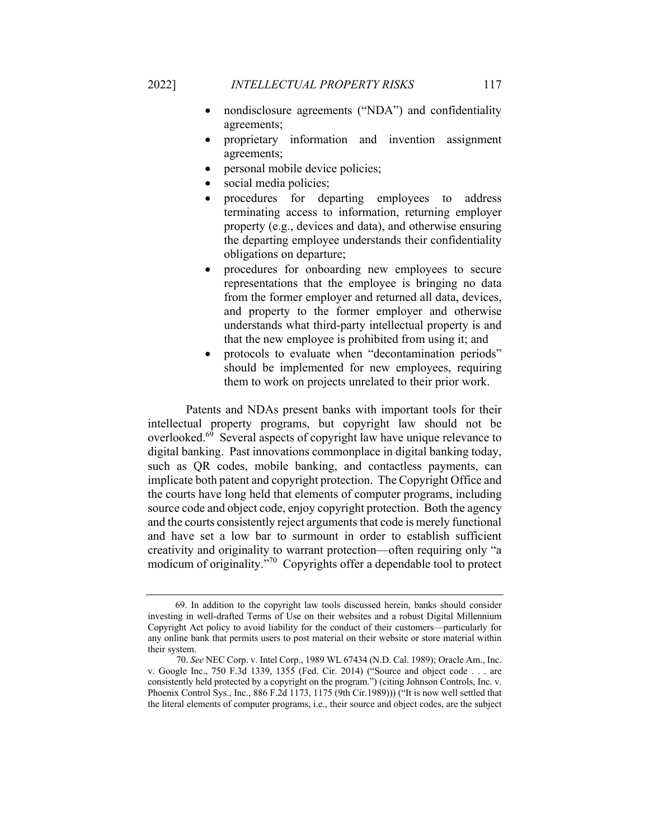- nondisclosure agreements ("NDA") and confidentiality agreements;
- proprietary information and invention assignment agreements;
- personal mobile device policies;
- social media policies;
- procedures for departing employees to address terminating access to information, returning employer property (e.g., devices and data), and otherwise ensuring the departing employee understands their confidentiality obligations on departure;
- procedures for onboarding new employees to secure representations that the employee is bringing no data from the former employer and returned all data, devices, and property to the former employer and otherwise understands what third-party intellectual property is and that the new employee is prohibited from using it; and
- protocols to evaluate when "decontamination periods" should be implemented for new employees, requiring them to work on projects unrelated to their prior work.

Patents and NDAs present banks with important tools for their intellectual property programs, but copyright law should not be overlooked.69 Several aspects of copyright law have unique relevance to digital banking. Past innovations commonplace in digital banking today, such as QR codes, mobile banking, and contactless payments, can implicate both patent and copyright protection. The Copyright Office and the courts have long held that elements of computer programs, including source code and object code, enjoy copyright protection. Both the agency and the courts consistently reject arguments that code is merely functional and have set a low bar to surmount in order to establish sufficient creativity and originality to warrant protection—often requiring only "a modicum of originality."70 Copyrights offer a dependable tool to protect

<sup>69.</sup> In addition to the copyright law tools discussed herein, banks should consider investing in well-drafted Terms of Use on their websites and a robust Digital Millennium Copyright Act policy to avoid liability for the conduct of their customers—particularly for any online bank that permits users to post material on their website or store material within their system.

 <sup>70.</sup> *See* NEC Corp. v. Intel Corp., 1989 WL 67434 (N.D. Cal. 1989); Oracle Am., Inc. v. Google Inc., 750 F.3d 1339, 1355 (Fed. Cir. 2014) ("Source and object code . . . are consistently held protected by a copyright on the program.") (citing Johnson Controls, Inc. v. Phoenix Control Sys., Inc., 886 F.2d 1173, 1175 (9th Cir.1989))) ("It is now well settled that the literal elements of computer programs, i.e., their source and object codes, are the subject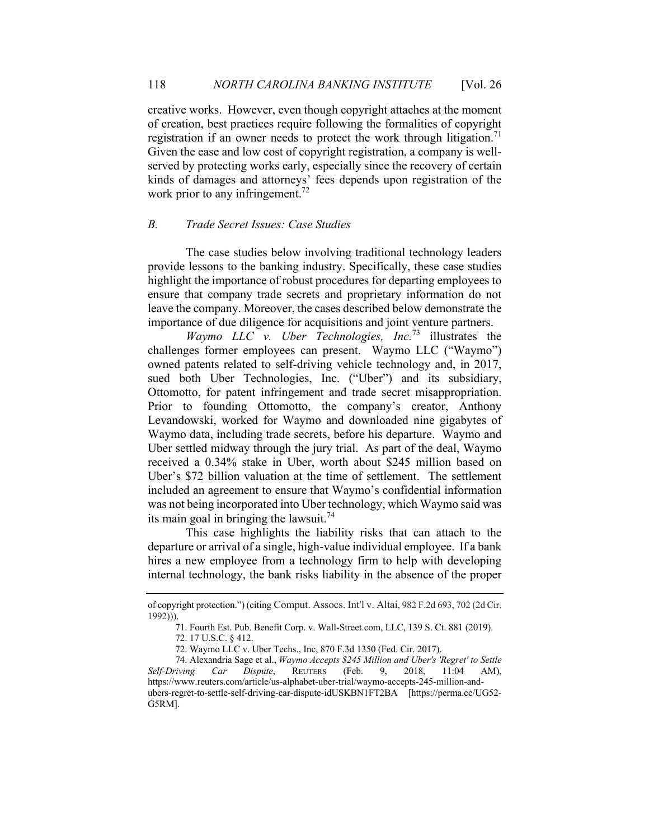creative works. However, even though copyright attaches at the moment of creation, best practices require following the formalities of copyright registration if an owner needs to protect the work through litigation.<sup>71</sup> Given the ease and low cost of copyright registration, a company is wellserved by protecting works early, especially since the recovery of certain kinds of damages and attorneys' fees depends upon registration of the work prior to any infringement.<sup>72</sup>

## *B. Trade Secret Issues: Case Studies*

The case studies below involving traditional technology leaders provide lessons to the banking industry. Specifically, these case studies highlight the importance of robust procedures for departing employees to ensure that company trade secrets and proprietary information do not leave the company. Moreover, the cases described below demonstrate the importance of due diligence for acquisitions and joint venture partners.

*Waymo LLC v. Uber Technologies, Inc.*<sup>73</sup> illustrates the challenges former employees can present. Waymo LLC ("Waymo") owned patents related to self-driving vehicle technology and, in 2017, sued both Uber Technologies, Inc. ("Uber") and its subsidiary, Ottomotto, for patent infringement and trade secret misappropriation. Prior to founding Ottomotto, the company's creator, Anthony Levandowski, worked for Waymo and downloaded nine gigabytes of Waymo data, including trade secrets, before his departure. Waymo and Uber settled midway through the jury trial. As part of the deal, Waymo received a 0.34% stake in Uber, worth about \$245 million based on Uber's \$72 billion valuation at the time of settlement. The settlement included an agreement to ensure that Waymo's confidential information was not being incorporated into Uber technology, which Waymo said was its main goal in bringing the lawsuit.<sup>74</sup>

This case highlights the liability risks that can attach to the departure or arrival of a single, high-value individual employee. If a bank hires a new employee from a technology firm to help with developing internal technology, the bank risks liability in the absence of the proper

of copyright protection.") (citing Comput. Assocs. Int'l v. Altai, 982 F.2d 693, 702 (2d Cir. 1992))).

<sup>71.</sup> Fourth Est. Pub. Benefit Corp. v. Wall-Street.com, LLC, 139 S. Ct. 881 (2019).

<sup>72. 17</sup> U.S.C. § 412.

<sup>72.</sup> Waymo LLC v. Uber Techs., Inc, 870 F.3d 1350 (Fed. Cir. 2017).

<sup>74.</sup> Alexandria Sage et al., *Waymo Accepts \$245 Million and Uber's 'Regret' to Settle Self-Driving Car Dispute*, REUTERS (Feb. 9, 2018, 11:04 AM), https://www.reuters.com/article/us-alphabet-uber-trial/waymo-accepts-245-million-andubers-regret-to-settle-self-driving-car-dispute-idUSKBN1FT2BA [https://perma.cc/UG52- G5RM].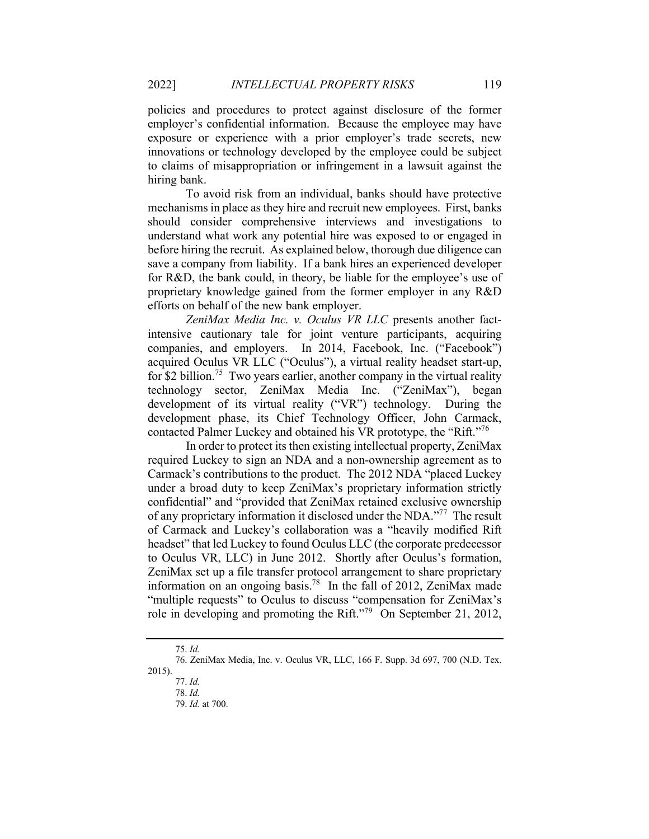policies and procedures to protect against disclosure of the former employer's confidential information. Because the employee may have exposure or experience with a prior employer's trade secrets, new innovations or technology developed by the employee could be subject to claims of misappropriation or infringement in a lawsuit against the hiring bank.

To avoid risk from an individual, banks should have protective mechanisms in place as they hire and recruit new employees. First, banks should consider comprehensive interviews and investigations to understand what work any potential hire was exposed to or engaged in before hiring the recruit. As explained below, thorough due diligence can save a company from liability. If a bank hires an experienced developer for R&D, the bank could, in theory, be liable for the employee's use of proprietary knowledge gained from the former employer in any R&D efforts on behalf of the new bank employer.

*ZeniMax Media Inc. v. Oculus VR LLC* presents another factintensive cautionary tale for joint venture participants, acquiring companies, and employers. In 2014, Facebook, Inc. ("Facebook") acquired Oculus VR LLC ("Oculus"), a virtual reality headset start-up, for \$2 billion.<sup>75</sup> Two years earlier, another company in the virtual reality technology sector, ZeniMax Media Inc. ("ZeniMax"), began development of its virtual reality ("VR") technology. During the development phase, its Chief Technology Officer, John Carmack, contacted Palmer Luckey and obtained his VR prototype, the "Rift."76

In order to protect its then existing intellectual property, ZeniMax required Luckey to sign an NDA and a non-ownership agreement as to Carmack's contributions to the product. The 2012 NDA "placed Luckey under a broad duty to keep ZeniMax's proprietary information strictly confidential" and "provided that ZeniMax retained exclusive ownership of any proprietary information it disclosed under the NDA."77 The result of Carmack and Luckey's collaboration was a "heavily modified Rift headset" that led Luckey to found Oculus LLC (the corporate predecessor to Oculus VR, LLC) in June 2012. Shortly after Oculus's formation, ZeniMax set up a file transfer protocol arrangement to share proprietary information on an ongoing basis.78 In the fall of 2012, ZeniMax made "multiple requests" to Oculus to discuss "compensation for ZeniMax's role in developing and promoting the Rift."<sup>79</sup> On September 21, 2012,

<sup>75.</sup> *Id.* 

<sup>76.</sup> ZeniMax Media, Inc. v. Oculus VR, LLC, 166 F. Supp. 3d 697, 700 (N.D. Tex. 2015).

<sup>77.</sup> *Id.*

<sup>78.</sup> *Id.*

<sup>79.</sup> *Id.* at 700.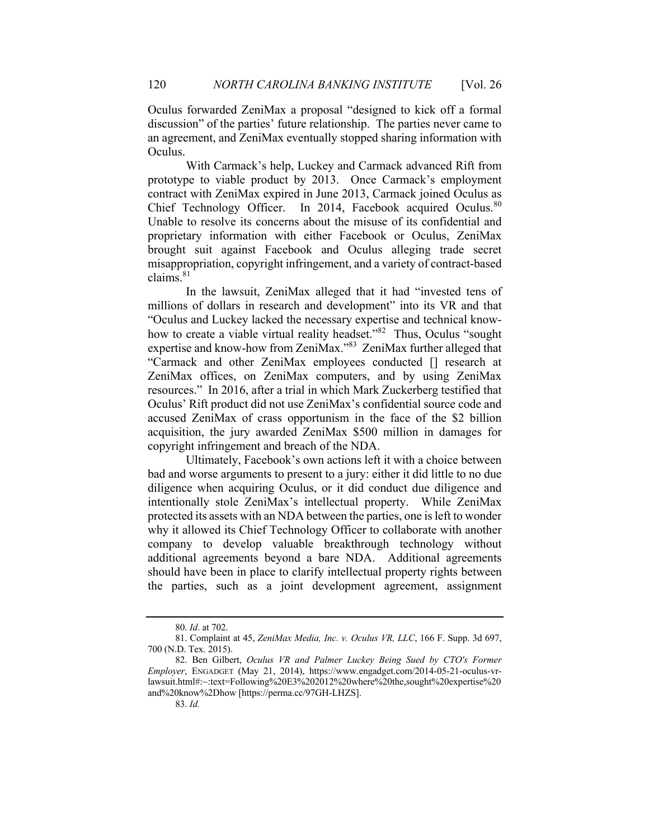Oculus forwarded ZeniMax a proposal "designed to kick off a formal discussion" of the parties' future relationship. The parties never came to an agreement, and ZeniMax eventually stopped sharing information with Oculus.

With Carmack's help, Luckey and Carmack advanced Rift from prototype to viable product by 2013. Once Carmack's employment contract with ZeniMax expired in June 2013, Carmack joined Oculus as Chief Technology Officer. In 2014, Facebook acquired Oculus.<sup>80</sup> Unable to resolve its concerns about the misuse of its confidential and proprietary information with either Facebook or Oculus, ZeniMax brought suit against Facebook and Oculus alleging trade secret misappropriation, copyright infringement, and a variety of contract-based claims.<sup>81</sup>

In the lawsuit, ZeniMax alleged that it had "invested tens of millions of dollars in research and development" into its VR and that "Oculus and Luckey lacked the necessary expertise and technical knowhow to create a viable virtual reality headset."<sup>82</sup> Thus, Oculus "sought" expertise and know-how from ZeniMax."83 ZeniMax further alleged that "Carmack and other ZeniMax employees conducted [] research at ZeniMax offices, on ZeniMax computers, and by using ZeniMax resources." In 2016, after a trial in which Mark Zuckerberg testified that Oculus' Rift product did not use ZeniMax's confidential source code and accused ZeniMax of crass opportunism in the face of the \$2 billion acquisition, the jury awarded ZeniMax \$500 million in damages for copyright infringement and breach of the NDA.

Ultimately, Facebook's own actions left it with a choice between bad and worse arguments to present to a jury: either it did little to no due diligence when acquiring Oculus, or it did conduct due diligence and intentionally stole ZeniMax's intellectual property. While ZeniMax protected its assets with an NDA between the parties, one is left to wonder why it allowed its Chief Technology Officer to collaborate with another company to develop valuable breakthrough technology without additional agreements beyond a bare NDA. Additional agreements should have been in place to clarify intellectual property rights between the parties, such as a joint development agreement, assignment

<sup>80.</sup> *Id*. at 702.

<sup>81.</sup> Complaint at 45, *ZeniMax Media, Inc. v. Oculus VR, LLC*, 166 F. Supp. 3d 697, 700 (N.D. Tex. 2015).

<sup>82.</sup> Ben Gilbert, *Oculus VR and Palmer Luckey Being Sued by CTO's Former Employer*, ENGADGET (May 21, 2014), https://www.engadget.com/2014-05-21-oculus-vrlawsuit.html#:~:text=Following%20E3%202012%20where%20the,sought%20expertise%20 and%20know%2Dhow [https://perma.cc/97GH-LHZS]. 83. *Id.*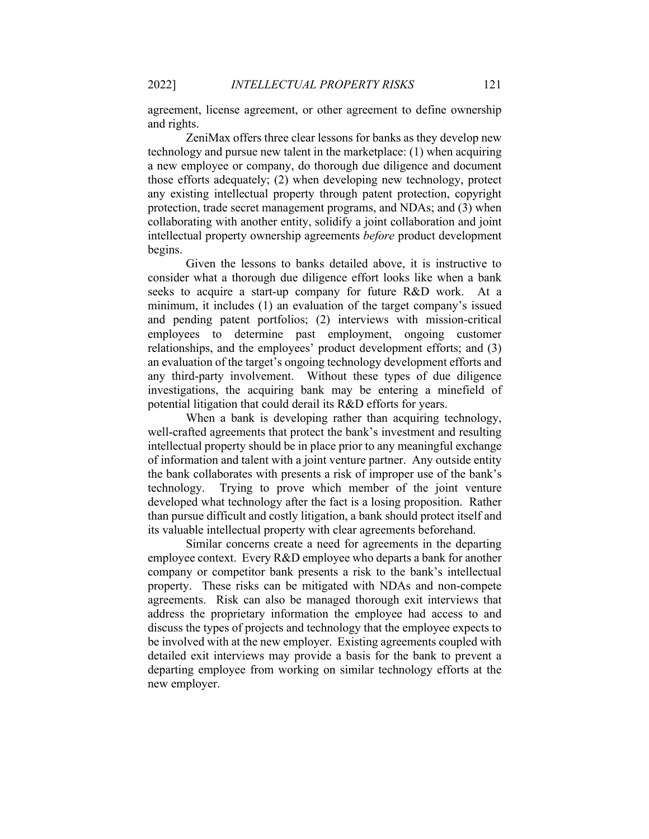agreement, license agreement, or other agreement to define ownership and rights.

ZeniMax offers three clear lessons for banks as they develop new technology and pursue new talent in the marketplace: (1) when acquiring a new employee or company, do thorough due diligence and document those efforts adequately; (2) when developing new technology, protect any existing intellectual property through patent protection, copyright protection, trade secret management programs, and NDAs; and (3) when collaborating with another entity, solidify a joint collaboration and joint intellectual property ownership agreements *before* product development begins.

Given the lessons to banks detailed above, it is instructive to consider what a thorough due diligence effort looks like when a bank seeks to acquire a start-up company for future R&D work. At a minimum, it includes (1) an evaluation of the target company's issued and pending patent portfolios; (2) interviews with mission-critical employees to determine past employment, ongoing customer relationships, and the employees' product development efforts; and (3) an evaluation of the target's ongoing technology development efforts and any third-party involvement. Without these types of due diligence investigations, the acquiring bank may be entering a minefield of potential litigation that could derail its R&D efforts for years.

When a bank is developing rather than acquiring technology, well-crafted agreements that protect the bank's investment and resulting intellectual property should be in place prior to any meaningful exchange of information and talent with a joint venture partner. Any outside entity the bank collaborates with presents a risk of improper use of the bank's technology. Trying to prove which member of the joint venture developed what technology after the fact is a losing proposition. Rather than pursue difficult and costly litigation, a bank should protect itself and its valuable intellectual property with clear agreements beforehand.

Similar concerns create a need for agreements in the departing employee context. Every R&D employee who departs a bank for another company or competitor bank presents a risk to the bank's intellectual property. These risks can be mitigated with NDAs and non-compete agreements. Risk can also be managed thorough exit interviews that address the proprietary information the employee had access to and discuss the types of projects and technology that the employee expects to be involved with at the new employer. Existing agreements coupled with detailed exit interviews may provide a basis for the bank to prevent a departing employee from working on similar technology efforts at the new employer.